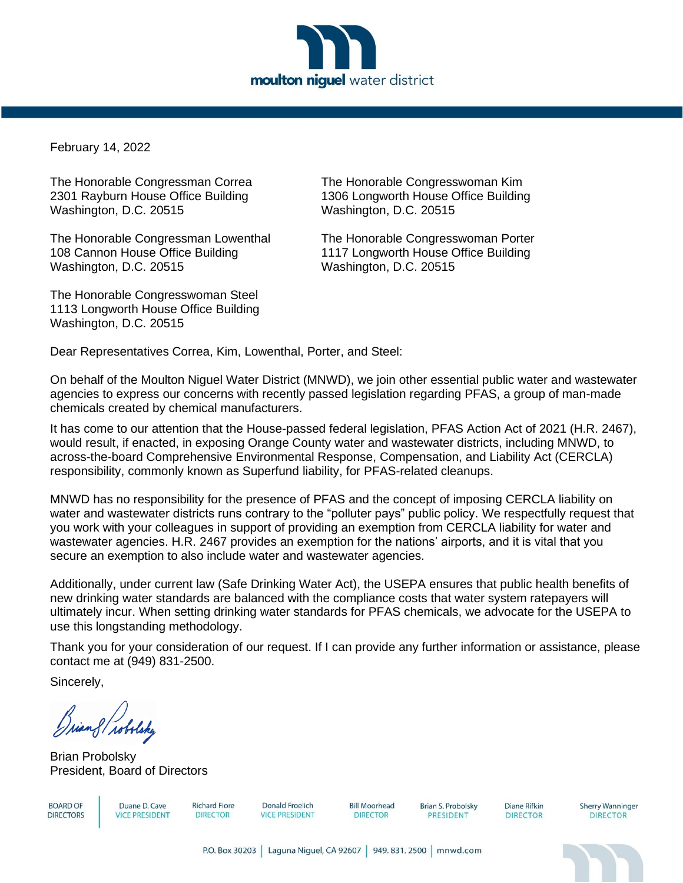

February 14, 2022

Washington, D.C. 20515 Washington, D.C. 20515

The Honorable Congressman Lowenthal The Honorable Congresswoman Porter 108 Cannon House Office Building 1117 Longworth House Office Building Washington, D.C. 20515 Washington, D.C. 20515

The Honorable Congresswoman Steel 1113 Longworth House Office Building Washington, D.C. 20515

The Honorable Congressman Correa The Honorable Congresswoman Kim 2301 Rayburn House Office Building 1306 Longworth House Office Building

Dear Representatives Correa, Kim, Lowenthal, Porter, and Steel:

On behalf of the Moulton Niguel Water District (MNWD), we join other essential public water and wastewater agencies to express our concerns with recently passed legislation regarding PFAS, a group of man-made chemicals created by chemical manufacturers.

It has come to our attention that the House-passed federal legislation, PFAS Action Act of 2021 (H.R. 2467), would result, if enacted, in exposing Orange County water and wastewater districts, including MNWD, to across-the-board Comprehensive Environmental Response, Compensation, and Liability Act (CERCLA) responsibility, commonly known as Superfund liability, for PFAS-related cleanups.

MNWD has no responsibility for the presence of PFAS and the concept of imposing CERCLA liability on water and wastewater districts runs contrary to the "polluter pays" public policy. We respectfully request that you work with your colleagues in support of providing an exemption from CERCLA liability for water and wastewater agencies. H.R. 2467 provides an exemption for the nations' airports, and it is vital that you secure an exemption to also include water and wastewater agencies.

Additionally, under current law (Safe Drinking Water Act), the USEPA ensures that public health benefits of new drinking water standards are balanced with the compliance costs that water system ratepayers will ultimately incur. When setting drinking water standards for PFAS chemicals, we advocate for the USEPA to use this longstanding methodology.

Thank you for your consideration of our request. If I can provide any further information or assistance, please contact me at (949) 831-2500.

Sincerely,

Grian & Trobolsky

Brian Probolsky President, Board of Directors

**BOARD OF DIRECTORS** 

Duane D. Cave **VICE PRESIDENT** 

**Richard Fiore DIRECTOR** 

**Donald Froelich VICE PRESIDENT**  **Bill Moorhead DIRECTOR** 

Brian S. Probolsky **PRESIDENT** 

Diane Rifkin **DIRECTOR** 

**Sherry Wanninger DIRECTOR**